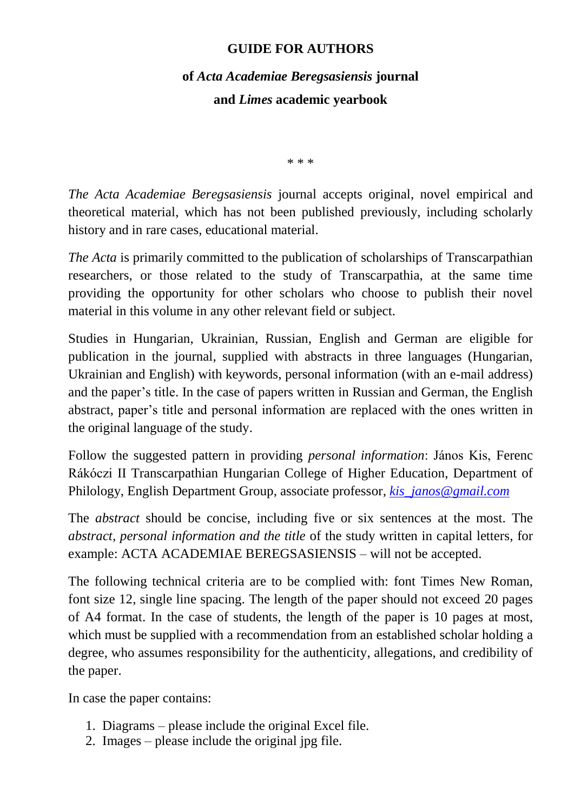#### **GUIDE FOR AUTHORS**

# **of** *Acta Academiae Beregsasiensis* **journal and** *Limes* **academic yearbook**

\* \* \*

*The Acta Academiae Beregsasiensis* journal accepts original, novel empirical and theoretical material, which has not been published previously, including scholarly history and in rare cases, educational material.

*The Acta* is primarily committed to the publication of scholarships of Transcarpathian researchers, or those related to the study of Transcarpathia, at the same time providing the opportunity for other scholars who choose to publish their novel material in this volume in any other relevant field or subject.

Studies in Hungarian, Ukrainian, Russian, English and German are eligible for publication in the journal, supplied with abstracts in three languages (Hungarian, Ukrainian and English) with keywords, personal information (with an e-mail address) and the paper's title. In the case of papers written in Russian and German, the English abstract, paper's title and personal information are replaced with the ones written in the original language of the study.

Follow the suggested pattern in providing *personal information*: János Kis, Ferenc Rákóczi II Transcarpathian Hungarian College of Higher Education, Department of Philology, English Department Group, associate professor, *[kis\\_janos@gmail.com](mailto:kis_janos@gmail.com)*

The *abstract* should be concise, including five or six sentences at the most. The *abstract, personal information and the title* of the study written in capital letters, for example: ACTA ACADEMIAE BEREGSASIENSIS – will not be accepted.

The following technical criteria are to be complied with: font Times New Roman, font size 12, single line spacing. The length of the paper should not exceed 20 pages of A4 format. In the case of students, the length of the paper is 10 pages at most, which must be supplied with a recommendation from an established scholar holding a degree, who assumes responsibility for the authenticity, allegations, and credibility of the paper.

In case the paper contains:

- 1. Diagrams please include the original Excel file.
- 2. Images please include the original jpg file.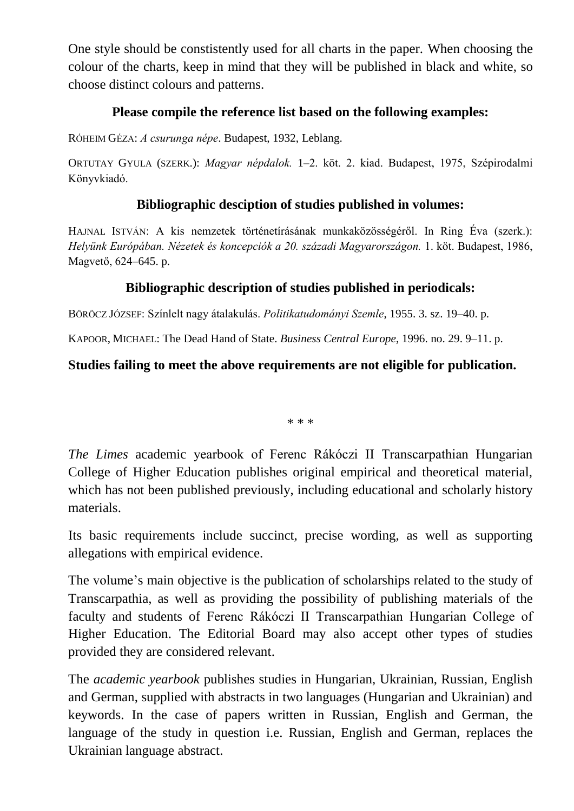One style should be constistently used for all charts in the paper. When choosing the colour of the charts, keep in mind that they will be published in black and white, so choose distinct colours and patterns.

## **Please compile the reference list based on the following examples:**

RÓHEIM GÉZA: *A csurunga népe*. Budapest, 1932, Leblang.

ORTUTAY GYULA (SZERK.): *Magyar népdalok.* 1–2. köt. 2. kiad. Budapest, 1975, Szépirodalmi Könyvkiadó.

## **Bibliographic desciption of studies published in volumes:**

HAJNAL ISTVÁN: A kis nemzetek történetírásának munkaközösségéről. In Ring Éva (szerk.): *Helyünk Európában. Nézetek és koncepciók a 20. századi Magyarországon.* 1. köt. Budapest, 1986, Magvető, 624–645. p.

## **Bibliographic description of studies published in periodicals:**

BÖRÖCZ JÓZSEF: Színlelt nagy átalakulás. *Politikatudományi Szemle*, 1955. 3. sz. 19–40. p.

KAPOOR, MICHAEL: The Dead Hand of State. *Business Central Europe*, 1996. no. 29. 9–11. p.

# **Studies failing to meet the above requirements are not eligible for publication.**

\* \* \*

*The Limes* academic yearbook of Ferenc Rákóczi II Transcarpathian Hungarian College of Higher Education publishes original empirical and theoretical material, which has not been published previously, including educational and scholarly history materials.

Its basic requirements include succinct, precise wording, as well as supporting allegations with empirical evidence.

The volume's main objective is the publication of scholarships related to the study of Transcarpathia, as well as providing the possibility of publishing materials of the faculty and students of Ferenc Rákóczi II Transcarpathian Hungarian College of Higher Education. The Editorial Board may also accept other types of studies provided they are considered relevant.

The *academic yearbook* publishes studies in Hungarian, Ukrainian, Russian, English and German, supplied with abstracts in two languages (Hungarian and Ukrainian) and keywords. In the case of papers written in Russian, English and German, the language of the study in question i.e. Russian, English and German, replaces the Ukrainian language abstract.